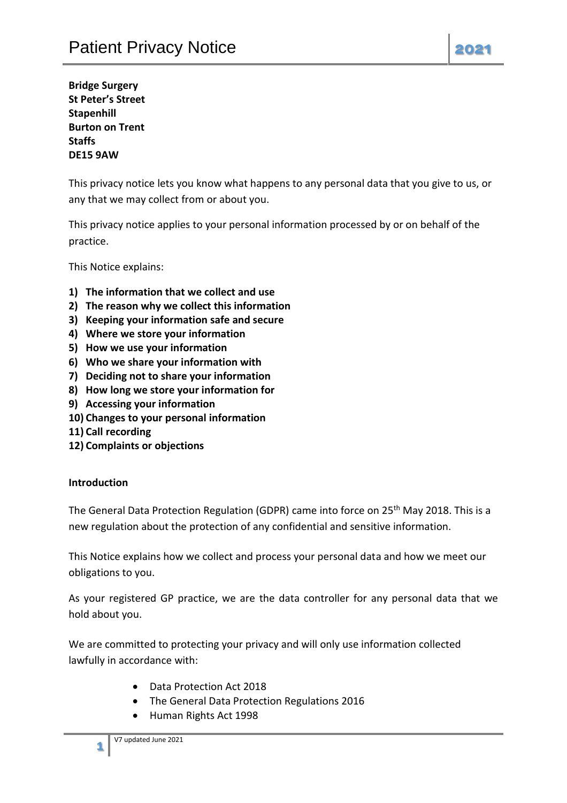**Bridge Surgery St Peter's Street Stapenhill Burton on Trent Staffs DE15 9AW**

This privacy notice lets you know what happens to any personal data that you give to us, or any that we may collect from or about you.

This privacy notice applies to your personal information processed by or on behalf of the practice.

This Notice explains:

- **1) The information that we collect and use**
- **2) The reason why we collect this information**
- **3) Keeping your information safe and secure**
- **4) Where we store your information**
- **5) How we use your information**
- **6) Who we share your information with**
- **7) Deciding not to share your information**
- **8) How long we store your information for**
- **9) Accessing your information**
- **10) Changes to your personal information**
- **11) Call recording**
- **12) Complaints or objections**

#### **Introduction**

The General Data Protection Regulation (GDPR) came into force on 25<sup>th</sup> May 2018. This is a new regulation about the protection of any confidential and sensitive information.

This Notice explains how we collect and process your personal data and how we meet our obligations to you.

As your registered GP practice, we are the data controller for any personal data that we hold about you.

We are committed to protecting your privacy and will only use information collected lawfully in accordance with:

- Data Protection Act 2018
- The General Data Protection Regulations 2016
- Human Rights Act 1998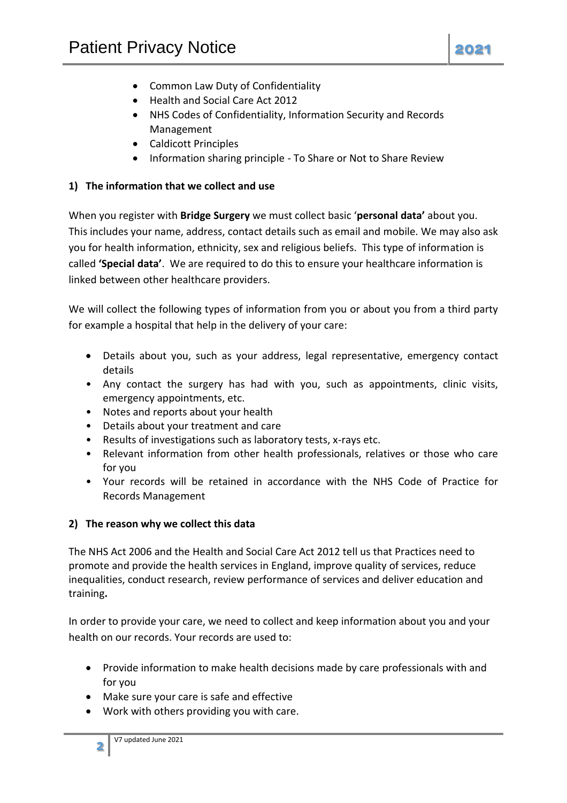- Common Law Duty of Confidentiality
- Health and Social Care Act 2012
- NHS Codes of Confidentiality, Information Security and Records Management
- Caldicott Principles
- Information sharing principle To Share or Not to Share Review

## **1) The information that we collect and use**

When you register with **Bridge Surgery** we must collect basic '**personal data'** about you. This includes your name, address, contact details such as email and mobile. We may also ask you for health information, ethnicity, sex and religious beliefs. This type of information is called **'Special data'**. We are required to do this to ensure your healthcare information is linked between other healthcare providers.

We will collect the following types of information from you or about you from a third party for example a hospital that help in the delivery of your care:

- Details about you, such as your address, legal representative, emergency contact details
- Any contact the surgery has had with you, such as appointments, clinic visits, emergency appointments, etc.
- Notes and reports about your health
- Details about your treatment and care
- Results of investigations such as laboratory tests, x-rays etc.
- Relevant information from other health professionals, relatives or those who care for you
- Your records will be retained in accordance with the NHS Code of Practice for Records Management

## **2) The reason why we collect this data**

The NHS Act 2006 and the Health and Social Care Act 2012 tell us that Practices need to promote and provide the health services in England, improve quality of services, reduce inequalities, conduct research, review performance of services and deliver education and training**.**

In order to provide your care, we need to collect and keep information about you and your health on our records. Your records are used to:

- Provide information to make health decisions made by care professionals with and for you
- Make sure your care is safe and effective
- Work with others providing you with care.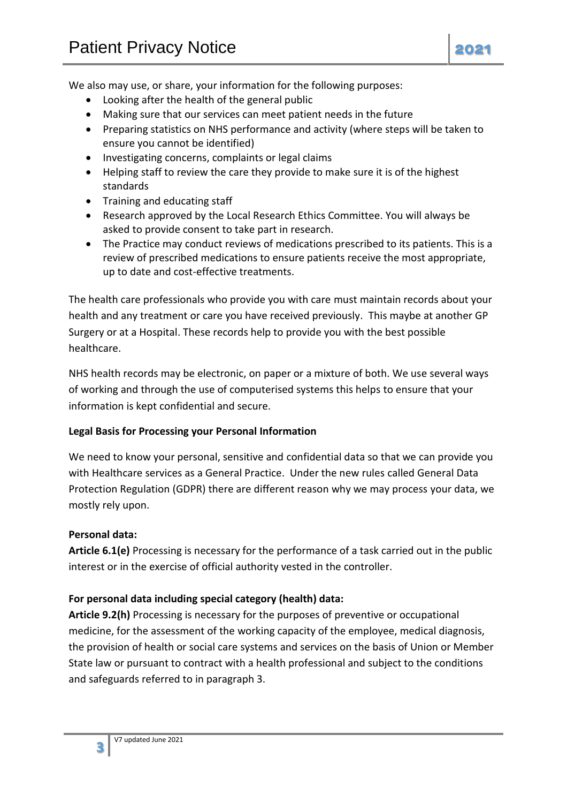We also may use, or share, your information for the following purposes:

- Looking after the health of the general public
- Making sure that our services can meet patient needs in the future
- Preparing statistics on NHS performance and activity (where steps will be taken to ensure you cannot be identified)
- Investigating concerns, complaints or legal claims
- Helping staff to review the care they provide to make sure it is of the highest standards
- Training and educating staff
- Research approved by the Local Research Ethics Committee. You will always be asked to provide consent to take part in research.
- The Practice may conduct reviews of medications prescribed to its patients. This is a review of prescribed medications to ensure patients receive the most appropriate, up to date and cost-effective treatments.

The health care professionals who provide you with care must maintain records about your health and any treatment or care you have received previously. This maybe at another GP Surgery or at a Hospital. These records help to provide you with the best possible healthcare.

NHS health records may be electronic, on paper or a mixture of both. We use several ways of working and through the use of computerised systems this helps to ensure that your information is kept confidential and secure.

### **Legal Basis for Processing your Personal Information**

We need to know your personal, sensitive and confidential data so that we can provide you with Healthcare services as a General Practice. Under the new rules called General Data Protection Regulation (GDPR) there are different reason why we may process your data, we mostly rely upon.

### **Personal data:**

**Article 6.1(e)** Processing is necessary for the performance of a task carried out in the public interest or in the exercise of official authority vested in the controller.

### **For personal data including special category (health) data:**

**Article 9.2(h)** Processing is necessary for the purposes of preventive or occupational medicine, for the assessment of the working capacity of the employee, medical diagnosis, the provision of health or social care systems and services on the basis of Union or Member State law or pursuant to contract with a health professional and subject to the conditions and safeguards referred to in paragraph 3.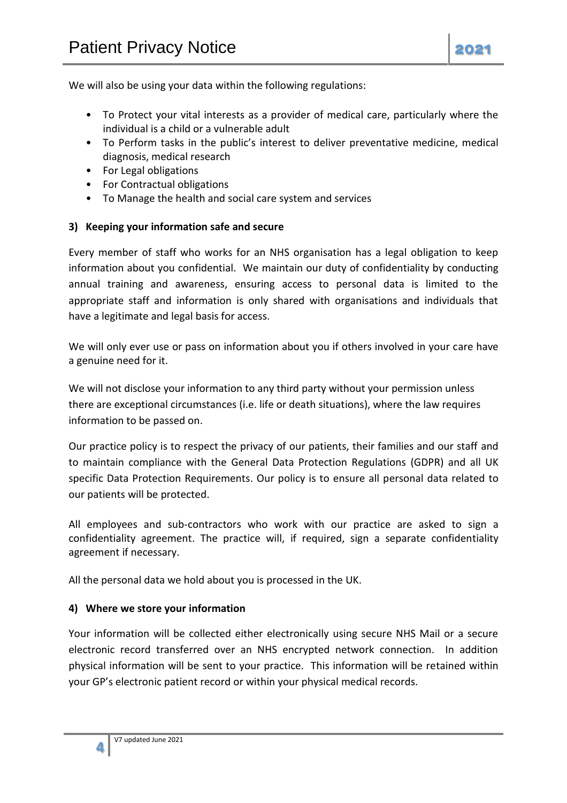We will also be using your data within the following regulations:

- To Protect your vital interests as a provider of medical care, particularly where the individual is a child or a vulnerable adult
- To Perform tasks in the public's interest to deliver preventative medicine, medical diagnosis, medical research
- For Legal obligations
- For Contractual obligations
- To Manage the health and social care system and services

### **3) Keeping your information safe and secure**

Every member of staff who works for an NHS organisation has a legal obligation to keep information about you confidential. We maintain our duty of confidentiality by conducting annual training and awareness, ensuring access to personal data is limited to the appropriate staff and information is only shared with organisations and individuals that have a legitimate and legal basis for access.

We will only ever use or pass on information about you if others involved in your care have a genuine need for it.

We will not disclose your information to any third party without your permission unless there are exceptional circumstances (i.e. life or death situations), where the law requires information to be passed on.

Our practice policy is to respect the privacy of our patients, their families and our staff and to maintain compliance with the General Data Protection Regulations (GDPR) and all UK specific Data Protection Requirements. Our policy is to ensure all personal data related to our patients will be protected.

All employees and sub-contractors who work with our practice are asked to sign a confidentiality agreement. The practice will, if required, sign a separate confidentiality agreement if necessary.

All the personal data we hold about you is processed in the UK.

### **4) Where we store your information**

Your information will be collected either electronically using secure NHS Mail or a secure electronic record transferred over an NHS encrypted network connection. In addition physical information will be sent to your practice. This information will be retained within your GP's electronic patient record or within your physical medical records.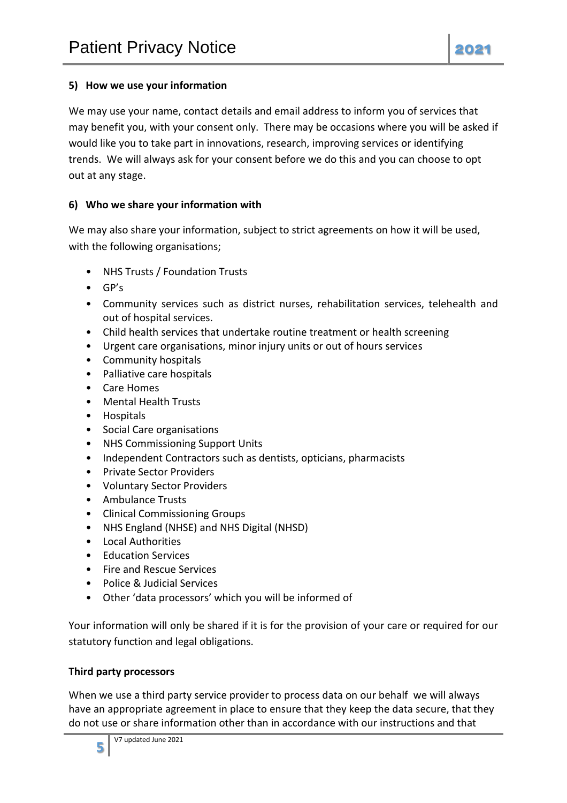## **5) How we use your information**

We may use your name, contact details and email address to inform you of services that may benefit you, with your consent only. There may be occasions where you will be asked if would like you to take part in innovations, research, improving services or identifying trends. We will always ask for your consent before we do this and you can choose to opt out at any stage.

## **6) Who we share your information with**

We may also share your information, subject to strict agreements on how it will be used, with the following organisations;

- NHS Trusts / Foundation Trusts
- GP's
- Community services such as district nurses, rehabilitation services, telehealth and out of hospital services.
- Child health services that undertake routine treatment or health screening
- Urgent care organisations, minor injury units or out of hours services
- Community hospitals
- Palliative care hospitals
- Care Homes
- Mental Health Trusts
- Hospitals
- Social Care organisations
- NHS Commissioning Support Units
- Independent Contractors such as dentists, opticians, pharmacists
- Private Sector Providers
- Voluntary Sector Providers
- Ambulance Trusts
- Clinical Commissioning Groups
- NHS England (NHSE) and NHS Digital (NHSD)
- Local Authorities
- Education Services
- Fire and Rescue Services
- Police & Judicial Services
- Other 'data processors' which you will be informed of

Your information will only be shared if it is for the provision of your care or required for our statutory function and legal obligations.

### **Third party processors**

When we use a third party service provider to process data on our behalf we will always have an appropriate agreement in place to ensure that they keep the data secure, that they do not use or share information other than in accordance with our instructions and that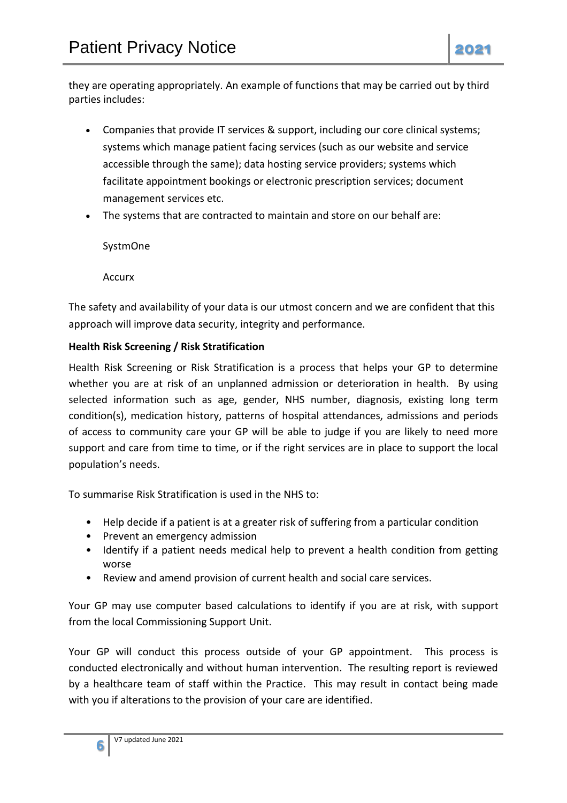they are operating appropriately. An example of functions that may be carried out by third parties includes:

- Companies that provide IT services & support, including our core clinical systems; systems which manage patient facing services (such as our website and service accessible through the same); data hosting service providers; systems which facilitate appointment bookings or electronic prescription services; document management services etc.
- The systems that are contracted to maintain and store on our behalf are:

SystmOne

Accurx

The safety and availability of your data is our utmost concern and we are confident that this approach will improve data security, integrity and performance.

## **Health Risk Screening / Risk Stratification**

Health Risk Screening or Risk Stratification is a process that helps your GP to determine whether you are at risk of an unplanned admission or deterioration in health. By using selected information such as age, gender, NHS number, diagnosis, existing long term condition(s), medication history, patterns of hospital attendances, admissions and periods of access to community care your GP will be able to judge if you are likely to need more support and care from time to time, or if the right services are in place to support the local population's needs.

To summarise Risk Stratification is used in the NHS to:

- Help decide if a patient is at a greater risk of suffering from a particular condition
- Prevent an emergency admission
- Identify if a patient needs medical help to prevent a health condition from getting worse
- Review and amend provision of current health and social care services.

Your GP may use computer based calculations to identify if you are at risk, with support from the local Commissioning Support Unit.

Your GP will conduct this process outside of your GP appointment. This process is conducted electronically and without human intervention. The resulting report is reviewed by a healthcare team of staff within the Practice. This may result in contact being made with you if alterations to the provision of your care are identified.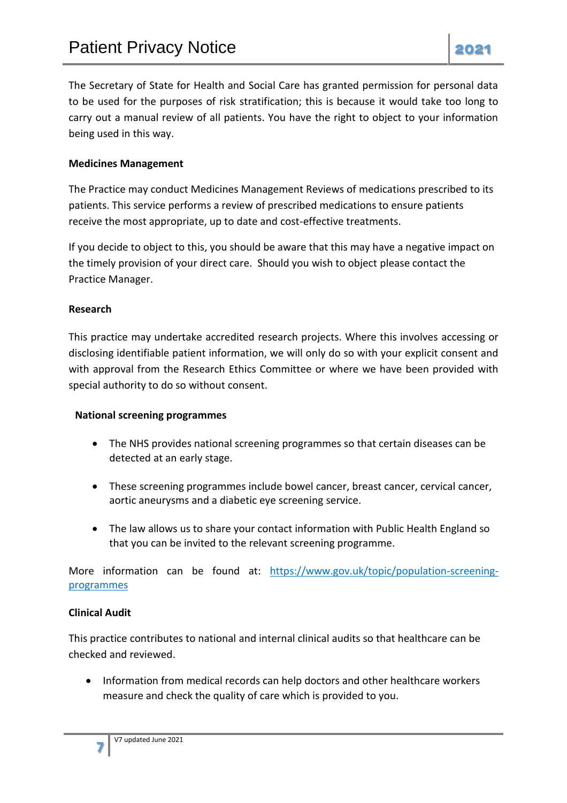The Secretary of State for Health and Social Care has granted permission for personal data to be used for the purposes of risk stratification; this is because it would take too long to carry out a manual review of all patients. You have the right to object to your information being used in this way.

## **Medicines Management**

The Practice may conduct Medicines Management Reviews of medications prescribed to its patients. This service performs a review of prescribed medications to ensure patients receive the most appropriate, up to date and cost-effective treatments.

If you decide to object to this, you should be aware that this may have a negative impact on the timely provision of your direct care. Should you wish to object please contact the Practice Manager.

### **Research**

This practice may undertake accredited research projects. Where this involves accessing or disclosing identifiable patient information, we will only do so with your explicit consent and with approval from the Research Ethics Committee or where we have been provided with special authority to do so without consent.

### **National screening programmes**

- The NHS provides national screening programmes so that certain diseases can be detected at an early stage.
- These screening programmes include bowel cancer, breast cancer, cervical cancer, aortic aneurysms and a diabetic eye screening service.
- The law allows us to share your contact information with Public Health England so that you can be invited to the relevant screening programme.

More information can be found at: [https://www.gov.uk/topic/population-screening](https://www.gov.uk/topic/population-screening-programmes)[programmes](https://www.gov.uk/topic/population-screening-programmes)

### **Clinical Audit**

**7**

This practice contributes to national and internal clinical audits so that healthcare can be checked and reviewed.

• Information from medical records can help doctors and other healthcare workers measure and check the quality of care which is provided to you.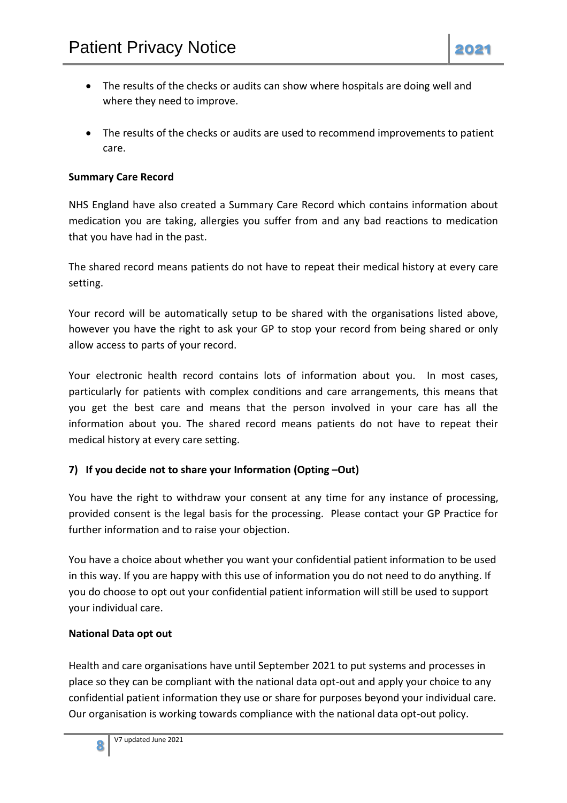- The results of the checks or audits can show where hospitals are doing well and where they need to improve.
- The results of the checks or audits are used to recommend improvements to patient care.

## **Summary Care Record**

NHS England have also created a Summary Care Record which contains information about medication you are taking, allergies you suffer from and any bad reactions to medication that you have had in the past.

The shared record means patients do not have to repeat their medical history at every care setting.

Your record will be automatically setup to be shared with the organisations listed above, however you have the right to ask your GP to stop your record from being shared or only allow access to parts of your record.

Your electronic health record contains lots of information about you. In most cases, particularly for patients with complex conditions and care arrangements, this means that you get the best care and means that the person involved in your care has all the information about you. The shared record means patients do not have to repeat their medical history at every care setting.

## **7) If you decide not to share your Information (Opting –Out)**

You have the right to withdraw your consent at any time for any instance of processing, provided consent is the legal basis for the processing. Please contact your GP Practice for further information and to raise your objection.

You have a choice about whether you want your confidential patient information to be used in this way. If you are happy with this use of information you do not need to do anything. If you do choose to opt out your confidential patient information will still be used to support your individual care.

## **National Data opt out**

Health and care organisations have until September 2021 to put systems and processes in place so they can be compliant with the national data opt-out and apply your choice to any confidential patient information they use or share for purposes beyond your individual care. Our organisation is working towards compliance with the national data opt-out policy.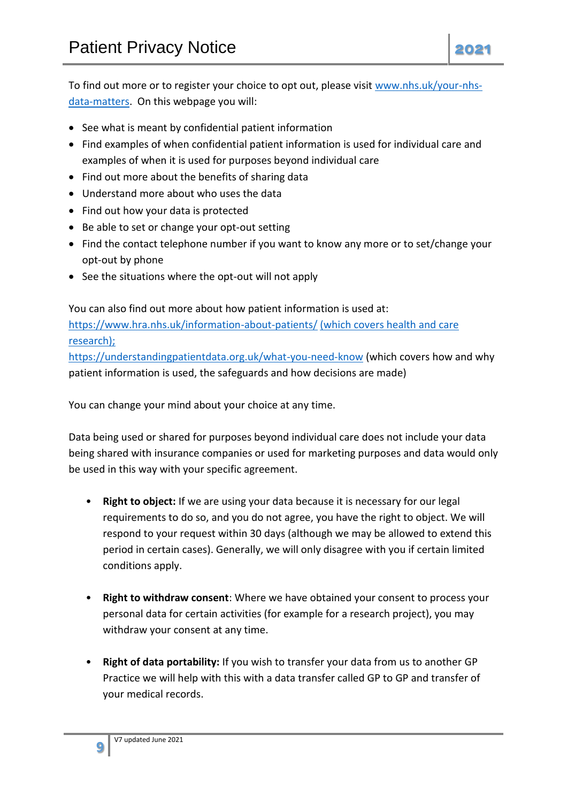- See what is meant by confidential patient information
- Find examples of when confidential patient information is used for individual care and examples of when it is used for purposes beyond individual care
- Find out more about the benefits of sharing data
- Understand more about who uses the data
- Find out how your data is protected
- Be able to set or change your opt-out setting
- Find the contact telephone number if you want to know any more or to set/change your opt-out by phone
- See the situations where the opt-out will not apply

You can also find out more about how patient information is used at: <https://www.hra.nhs.uk/information-about-patients/> (which covers health and care research);

<https://understandingpatientdata.org.uk/what-you-need-know> (which covers how and why patient information is used, the safeguards and how decisions are made)

You can change your mind about your choice at any time.

Data being used or shared for purposes beyond individual care does not include your data being shared with insurance companies or used for marketing purposes and data would only be used in this way with your specific agreement.

- **Right to object:** If we are using your data because it is necessary for our legal requirements to do so, and you do not agree, you have the right to object. We will respond to your request within 30 days (although we may be allowed to extend this period in certain cases). Generally, we will only disagree with you if certain limited conditions apply.
- **Right to withdraw consent**: Where we have obtained your consent to process your personal data for certain activities (for example for a research project), you may withdraw your consent at any time.
- **Right of data portability:** If you wish to transfer your data from us to another GP Practice we will help with this with a data transfer called GP to GP and transfer of your medical records.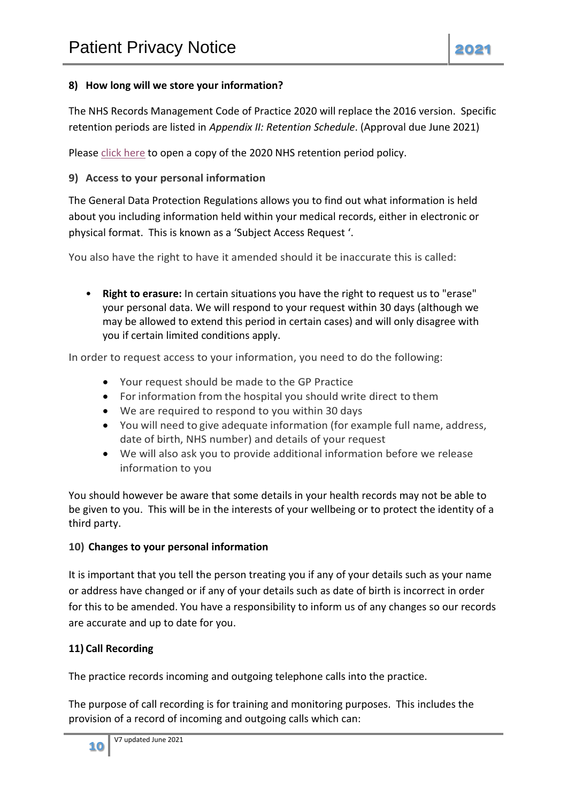The NHS Records Management Code of Practice 2020 will replace the 2016 version. Specific retention periods are listed in *Appendix II: Retention Schedule*. (Approval due June 2021)

Please [click here](https://www.nhsx.nhs.uk/media/documents/NHSX_Records_Management_Code_of_Practice_2020_3.pdf) to open a copy of the 2020 NHS retention period policy.

## **9) Access to your personal information**

The General Data Protection Regulations allows you to find out what information is held about you including information held within your medical records, either in electronic or physical format. This is known as a 'Subject Access Request '.

You also have the right to have it amended should it be inaccurate this is called:

• **Right to erasure:** In certain situations you have the right to request us to "erase" your personal data. We will respond to your request within 30 days (although we may be allowed to extend this period in certain cases) and will only disagree with you if certain limited conditions apply.

In order to request access to your information, you need to do the following:

- Your request should be made to the GP Practice
- For information from the hospital you should write direct to them
- We are required to respond to you within 30 days
- You will need to give adequate information (for example full name, address, date of birth, NHS number) and details of your request
- We will also ask you to provide additional information before we release information to you

You should however be aware that some details in your health records may not be able to be given to you. This will be in the interests of your wellbeing or to protect the identity of a third party.

# **10) Changes to your personal information**

It is important that you tell the person treating you if any of your details such as your name or address have changed or if any of your details such as date of birth is incorrect in order for this to be amended. You have a responsibility to inform us of any changes so our records are accurate and up to date for you.

# **11) Call Recording**

The practice records incoming and outgoing telephone calls into the practice.

The purpose of call recording is for training and monitoring purposes. This includes the provision of a record of incoming and outgoing calls which can: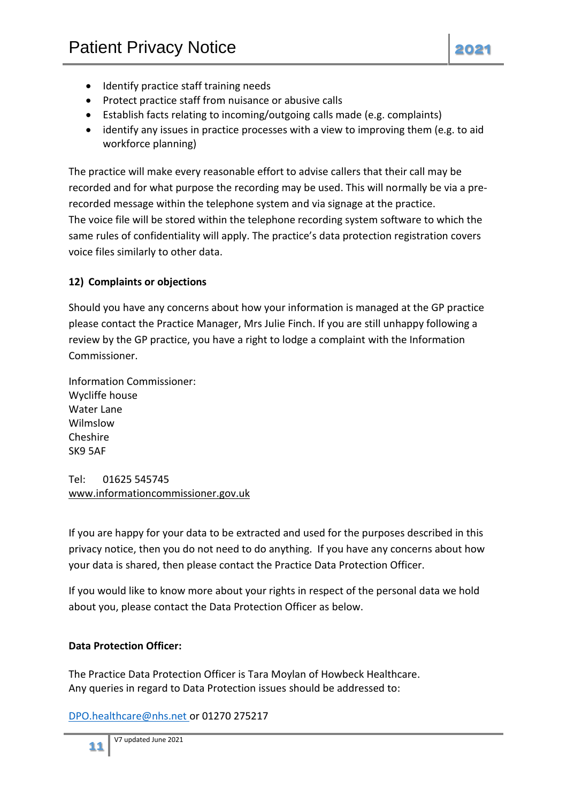- Identify practice staff training needs
- Protect practice staff from nuisance or abusive calls
- Establish facts relating to incoming/outgoing calls made (e.g. complaints)
- identify any issues in practice processes with a view to improving them (e.g. to aid workforce planning)

The practice will make every reasonable effort to advise callers that their call may be recorded and for what purpose the recording may be used. This will normally be via a prerecorded message within the telephone system and via signage at the practice. The voice file will be stored within the telephone recording system software to which the same rules of confidentiality will apply. The practice's data protection registration covers voice files similarly to other data.

## **12) Complaints or objections**

Should you have any concerns about how your information is managed at the GP practice please contact the Practice Manager, Mrs Julie Finch. If you are still unhappy following a review by the GP practice, you have a right to lodge a complaint with the Information Commissioner.

Information Commissioner: Wycliffe house Water Lane Wilmslow Cheshire SK9 5AF

Tel: 01625 545745 [www.informationc](http://www.information/)ommissioner.gov.uk

If you are happy for your data to be extracted and used for the purposes described in this privacy notice, then you do not need to do anything. If you have any concerns about how your data is shared, then please contact the Practice Data Protection Officer.

If you would like to know more about your rights in respect of the personal data we hold about you, please contact the Data Protection Officer as below.

## **Data Protection Officer:**

The Practice Data Protection Officer is Tara Moylan of Howbeck Healthcare. Any queries in regard to Data Protection issues should be addressed to:

[DPO.healthcare@nhs.net](mailto:DPO.healthcare@nhs.net) or 01270 275217